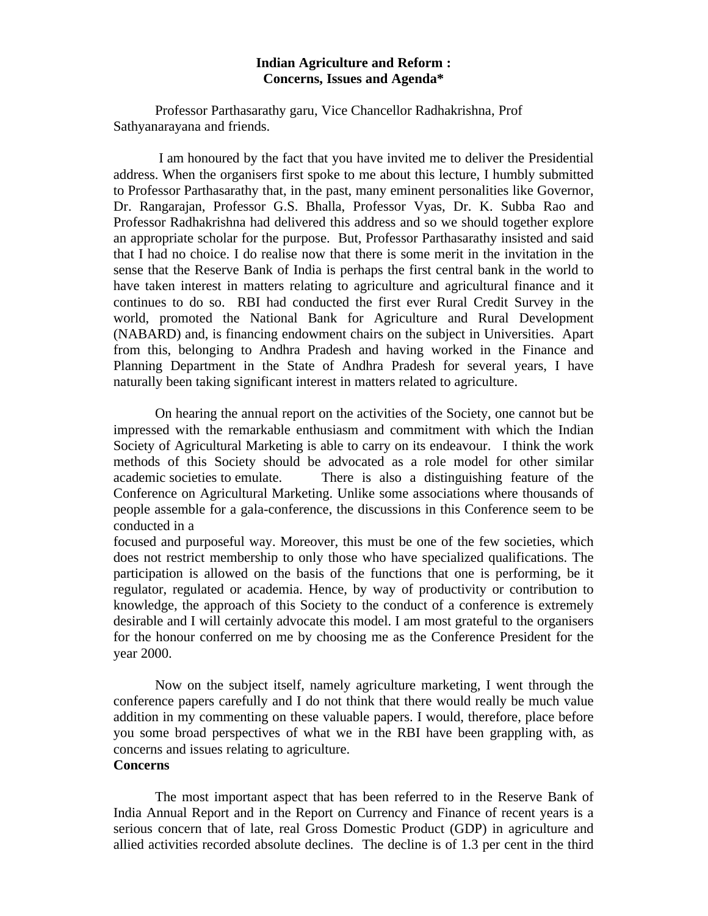## **Indian Agriculture and Reform : Concerns, Issues and Agenda\***

Professor Parthasarathy garu, Vice Chancellor Radhakrishna, Prof Sathyanarayana and friends.

 I am honoured by the fact that you have invited me to deliver the Presidential address. When the organisers first spoke to me about this lecture, I humbly submitted to Professor Parthasarathy that, in the past, many eminent personalities like Governor, Dr. Rangarajan, Professor G.S. Bhalla, Professor Vyas, Dr. K. Subba Rao and Professor Radhakrishna had delivered this address and so we should together explore an appropriate scholar for the purpose. But, Professor Parthasarathy insisted and said that I had no choice. I do realise now that there is some merit in the invitation in the sense that the Reserve Bank of India is perhaps the first central bank in the world to have taken interest in matters relating to agriculture and agricultural finance and it continues to do so. RBI had conducted the first ever Rural Credit Survey in the world, promoted the National Bank for Agriculture and Rural Development (NABARD) and, is financing endowment chairs on the subject in Universities. Apart from this, belonging to Andhra Pradesh and having worked in the Finance and Planning Department in the State of Andhra Pradesh for several years, I have naturally been taking significant interest in matters related to agriculture.

On hearing the annual report on the activities of the Society, one cannot but be impressed with the remarkable enthusiasm and commitment with which the Indian Society of Agricultural Marketing is able to carry on its endeavour. I think the work methods of this Society should be advocated as a role model for other similar academic societies to emulate. There is also a distinguishing feature of the Conference on Agricultural Marketing. Unlike some associations where thousands of people assemble for a gala-conference, the discussions in this Conference seem to be conducted in a

focused and purposeful way. Moreover, this must be one of the few societies, which does not restrict membership to only those who have specialized qualifications. The participation is allowed on the basis of the functions that one is performing, be it regulator, regulated or academia. Hence, by way of productivity or contribution to knowledge, the approach of this Society to the conduct of a conference is extremely desirable and I will certainly advocate this model. I am most grateful to the organisers for the honour conferred on me by choosing me as the Conference President for the year 2000.

Now on the subject itself, namely agriculture marketing, I went through the conference papers carefully and I do not think that there would really be much value addition in my commenting on these valuable papers. I would, therefore, place before you some broad perspectives of what we in the RBI have been grappling with, as concerns and issues relating to agriculture. **Concerns**

The most important aspect that has been referred to in the Reserve Bank of India Annual Report and in the Report on Currency and Finance of recent years is a serious concern that of late, real Gross Domestic Product (GDP) in agriculture and allied activities recorded absolute declines. The decline is of 1.3 per cent in the third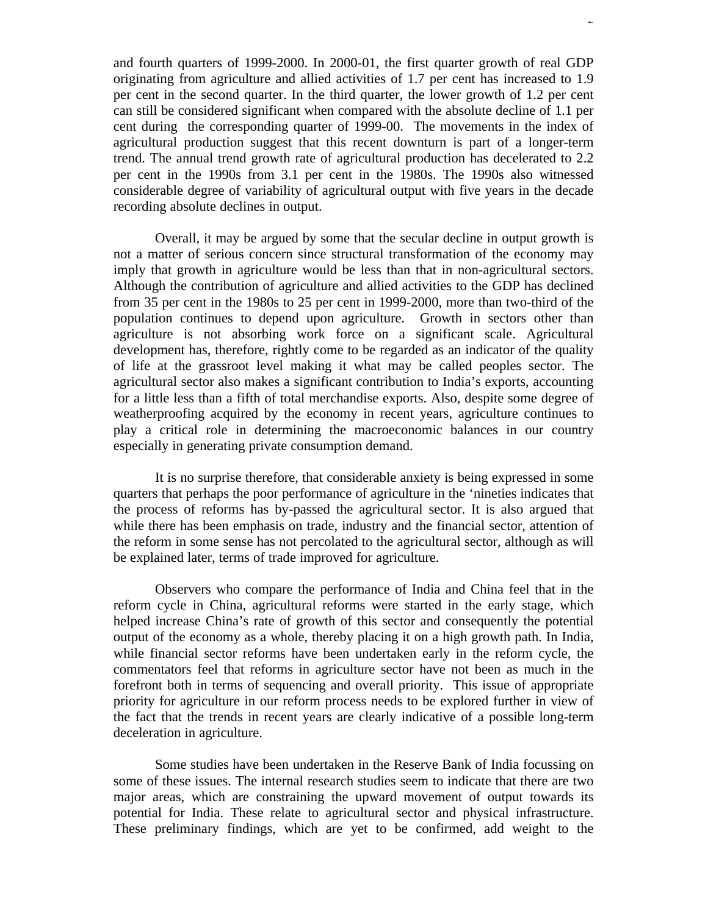and fourth quarters of 1999-2000. In 2000-01, the first quarter growth of real GDP originating from agriculture and allied activities of 1.7 per cent has increased to 1.9 per cent in the second quarter. In the third quarter, the lower growth of 1.2 per cent can still be considered significant when compared with the absolute decline of 1.1 per cent during the corresponding quarter of 1999-00. The movements in the index of agricultural production suggest that this recent downturn is part of a longer-term trend. The annual trend growth rate of agricultural production has decelerated to 2.2 per cent in the 1990s from 3.1 per cent in the 1980s. The 1990s also witnessed considerable degree of variability of agricultural output with five years in the decade recording absolute declines in output.

Overall, it may be argued by some that the secular decline in output growth is not a matter of serious concern since structural transformation of the economy may imply that growth in agriculture would be less than that in non-agricultural sectors. Although the contribution of agriculture and allied activities to the GDP has declined from 35 per cent in the 1980s to 25 per cent in 1999-2000, more than two-third of the population continues to depend upon agriculture. Growth in sectors other than agriculture is not absorbing work force on a significant scale. Agricultural development has, therefore, rightly come to be regarded as an indicator of the quality of life at the grassroot level making it what may be called peoples sector. The agricultural sector also makes a significant contribution to India's exports, accounting for a little less than a fifth of total merchandise exports. Also, despite some degree of weatherproofing acquired by the economy in recent years, agriculture continues to play a critical role in determining the macroeconomic balances in our country especially in generating private consumption demand.

It is no surprise therefore, that considerable anxiety is being expressed in some quarters that perhaps the poor performance of agriculture in the 'nineties indicates that the process of reforms has by-passed the agricultural sector. It is also argued that while there has been emphasis on trade, industry and the financial sector, attention of the reform in some sense has not percolated to the agricultural sector, although as will be explained later, terms of trade improved for agriculture.

Observers who compare the performance of India and China feel that in the reform cycle in China, agricultural reforms were started in the early stage, which helped increase China's rate of growth of this sector and consequently the potential output of the economy as a whole, thereby placing it on a high growth path. In India, while financial sector reforms have been undertaken early in the reform cycle, the commentators feel that reforms in agriculture sector have not been as much in the forefront both in terms of sequencing and overall priority. This issue of appropriate priority for agriculture in our reform process needs to be explored further in view of the fact that the trends in recent years are clearly indicative of a possible long-term deceleration in agriculture.

Some studies have been undertaken in the Reserve Bank of India focussing on some of these issues. The internal research studies seem to indicate that there are two major areas, which are constraining the upward movement of output towards its potential for India. These relate to agricultural sector and physical infrastructure. These preliminary findings, which are yet to be confirmed, add weight to the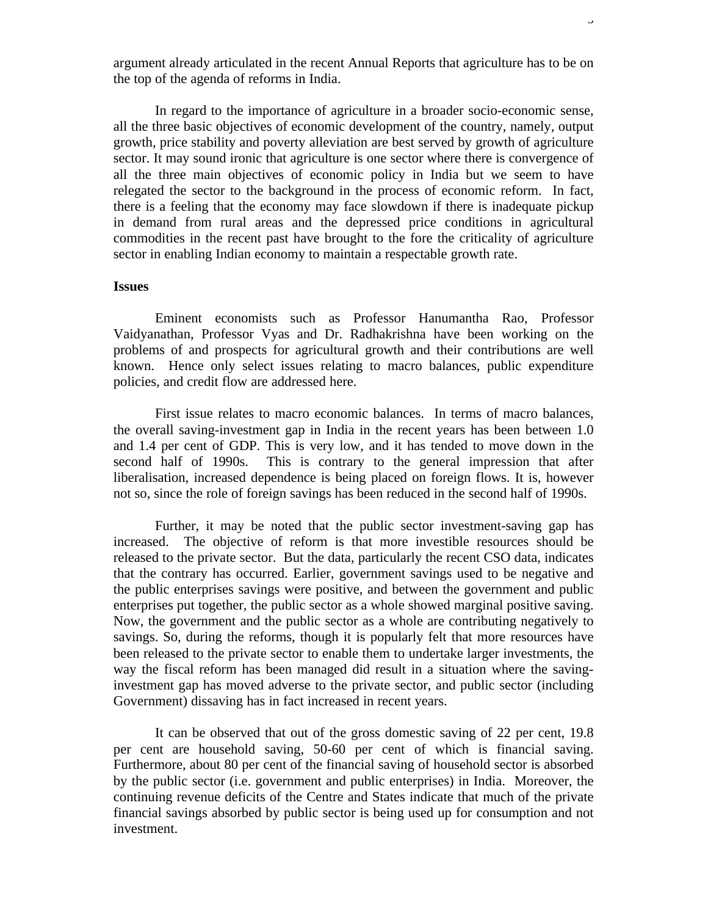argument already articulated in the recent Annual Reports that agriculture has to be on the top of the agenda of reforms in India.

In regard to the importance of agriculture in a broader socio-economic sense, all the three basic objectives of economic development of the country, namely, output growth, price stability and poverty alleviation are best served by growth of agriculture sector. It may sound ironic that agriculture is one sector where there is convergence of all the three main objectives of economic policy in India but we seem to have relegated the sector to the background in the process of economic reform. In fact, there is a feeling that the economy may face slowdown if there is inadequate pickup in demand from rural areas and the depressed price conditions in agricultural commodities in the recent past have brought to the fore the criticality of agriculture sector in enabling Indian economy to maintain a respectable growth rate.

## **Issues**

Eminent economists such as Professor Hanumantha Rao, Professor Vaidyanathan, Professor Vyas and Dr. Radhakrishna have been working on the problems of and prospects for agricultural growth and their contributions are well known. Hence only select issues relating to macro balances, public expenditure policies, and credit flow are addressed here.

First issue relates to macro economic balances. In terms of macro balances, the overall saving-investment gap in India in the recent years has been between 1.0 and 1.4 per cent of GDP. This is very low, and it has tended to move down in the second half of 1990s. This is contrary to the general impression that after liberalisation, increased dependence is being placed on foreign flows. It is, however not so, since the role of foreign savings has been reduced in the second half of 1990s.

Further, it may be noted that the public sector investment-saving gap has increased. The objective of reform is that more investible resources should be released to the private sector. But the data, particularly the recent CSO data, indicates that the contrary has occurred. Earlier, government savings used to be negative and the public enterprises savings were positive, and between the government and public enterprises put together, the public sector as a whole showed marginal positive saving. Now, the government and the public sector as a whole are contributing negatively to savings. So, during the reforms, though it is popularly felt that more resources have been released to the private sector to enable them to undertake larger investments, the way the fiscal reform has been managed did result in a situation where the savinginvestment gap has moved adverse to the private sector, and public sector (including Government) dissaving has in fact increased in recent years.

It can be observed that out of the gross domestic saving of 22 per cent, 19.8 per cent are household saving, 50-60 per cent of which is financial saving. Furthermore, about 80 per cent of the financial saving of household sector is absorbed by the public sector (i.e. government and public enterprises) in India. Moreover, the continuing revenue deficits of the Centre and States indicate that much of the private financial savings absorbed by public sector is being used up for consumption and not investment.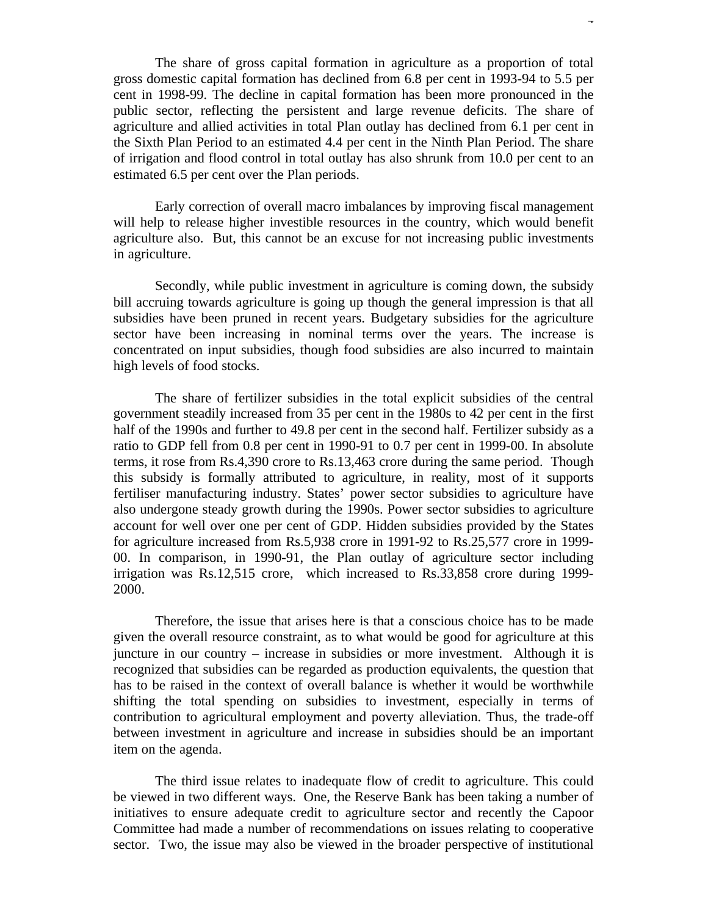The share of gross capital formation in agriculture as a proportion of total gross domestic capital formation has declined from 6.8 per cent in 1993-94 to 5.5 per cent in 1998-99. The decline in capital formation has been more pronounced in the public sector, reflecting the persistent and large revenue deficits. The share of agriculture and allied activities in total Plan outlay has declined from 6.1 per cent in the Sixth Plan Period to an estimated 4.4 per cent in the Ninth Plan Period. The share of irrigation and flood control in total outlay has also shrunk from 10.0 per cent to an estimated 6.5 per cent over the Plan periods.

Early correction of overall macro imbalances by improving fiscal management will help to release higher investible resources in the country, which would benefit agriculture also. But, this cannot be an excuse for not increasing public investments in agriculture.

Secondly, while public investment in agriculture is coming down, the subsidy bill accruing towards agriculture is going up though the general impression is that all subsidies have been pruned in recent years. Budgetary subsidies for the agriculture sector have been increasing in nominal terms over the years. The increase is concentrated on input subsidies, though food subsidies are also incurred to maintain high levels of food stocks.

The share of fertilizer subsidies in the total explicit subsidies of the central government steadily increased from 35 per cent in the 1980s to 42 per cent in the first half of the 1990s and further to 49.8 per cent in the second half. Fertilizer subsidy as a ratio to GDP fell from 0.8 per cent in 1990-91 to 0.7 per cent in 1999-00. In absolute terms, it rose from Rs.4,390 crore to Rs.13,463 crore during the same period. Though this subsidy is formally attributed to agriculture, in reality, most of it supports fertiliser manufacturing industry. States' power sector subsidies to agriculture have also undergone steady growth during the 1990s. Power sector subsidies to agriculture account for well over one per cent of GDP. Hidden subsidies provided by the States for agriculture increased from Rs.5,938 crore in 1991-92 to Rs.25,577 crore in 1999- 00. In comparison, in 1990-91, the Plan outlay of agriculture sector including irrigation was Rs.12,515 crore, which increased to Rs.33,858 crore during 1999- 2000.

Therefore, the issue that arises here is that a conscious choice has to be made given the overall resource constraint, as to what would be good for agriculture at this juncture in our country – increase in subsidies or more investment. Although it is recognized that subsidies can be regarded as production equivalents, the question that has to be raised in the context of overall balance is whether it would be worthwhile shifting the total spending on subsidies to investment, especially in terms of contribution to agricultural employment and poverty alleviation. Thus, the trade-off between investment in agriculture and increase in subsidies should be an important item on the agenda.

The third issue relates to inadequate flow of credit to agriculture. This could be viewed in two different ways. One, the Reserve Bank has been taking a number of initiatives to ensure adequate credit to agriculture sector and recently the Capoor Committee had made a number of recommendations on issues relating to cooperative sector. Two, the issue may also be viewed in the broader perspective of institutional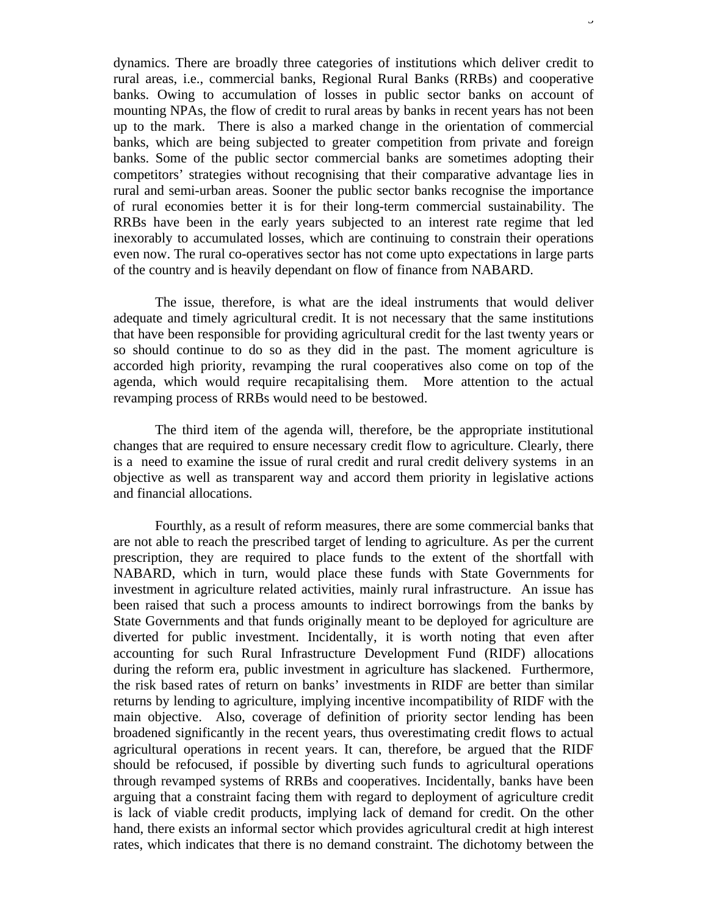dynamics. There are broadly three categories of institutions which deliver credit to rural areas, i.e., commercial banks, Regional Rural Banks (RRBs) and cooperative banks. Owing to accumulation of losses in public sector banks on account of mounting NPAs, the flow of credit to rural areas by banks in recent years has not been up to the mark. There is also a marked change in the orientation of commercial banks, which are being subjected to greater competition from private and foreign banks. Some of the public sector commercial banks are sometimes adopting their competitors' strategies without recognising that their comparative advantage lies in rural and semi-urban areas. Sooner the public sector banks recognise the importance of rural economies better it is for their long-term commercial sustainability. The RRBs have been in the early years subjected to an interest rate regime that led inexorably to accumulated losses, which are continuing to constrain their operations even now. The rural co-operatives sector has not come upto expectations in large parts of the country and is heavily dependant on flow of finance from NABARD.

 The issue, therefore, is what are the ideal instruments that would deliver adequate and timely agricultural credit. It is not necessary that the same institutions that have been responsible for providing agricultural credit for the last twenty years or so should continue to do so as they did in the past. The moment agriculture is accorded high priority, revamping the rural cooperatives also come on top of the agenda, which would require recapitalising them. More attention to the actual revamping process of RRBs would need to be bestowed.

The third item of the agenda will, therefore, be the appropriate institutional changes that are required to ensure necessary credit flow to agriculture. Clearly, there is a need to examine the issue of rural credit and rural credit delivery systems in an objective as well as transparent way and accord them priority in legislative actions and financial allocations.

Fourthly, as a result of reform measures, there are some commercial banks that are not able to reach the prescribed target of lending to agriculture. As per the current prescription, they are required to place funds to the extent of the shortfall with NABARD, which in turn, would place these funds with State Governments for investment in agriculture related activities, mainly rural infrastructure. An issue has been raised that such a process amounts to indirect borrowings from the banks by State Governments and that funds originally meant to be deployed for agriculture are diverted for public investment. Incidentally, it is worth noting that even after accounting for such Rural Infrastructure Development Fund (RIDF) allocations during the reform era, public investment in agriculture has slackened. Furthermore, the risk based rates of return on banks' investments in RIDF are better than similar returns by lending to agriculture, implying incentive incompatibility of RIDF with the main objective. Also, coverage of definition of priority sector lending has been broadened significantly in the recent years, thus overestimating credit flows to actual agricultural operations in recent years. It can, therefore, be argued that the RIDF should be refocused, if possible by diverting such funds to agricultural operations through revamped systems of RRBs and cooperatives. Incidentally, banks have been arguing that a constraint facing them with regard to deployment of agriculture credit is lack of viable credit products, implying lack of demand for credit. On the other hand, there exists an informal sector which provides agricultural credit at high interest rates, which indicates that there is no demand constraint. The dichotomy between the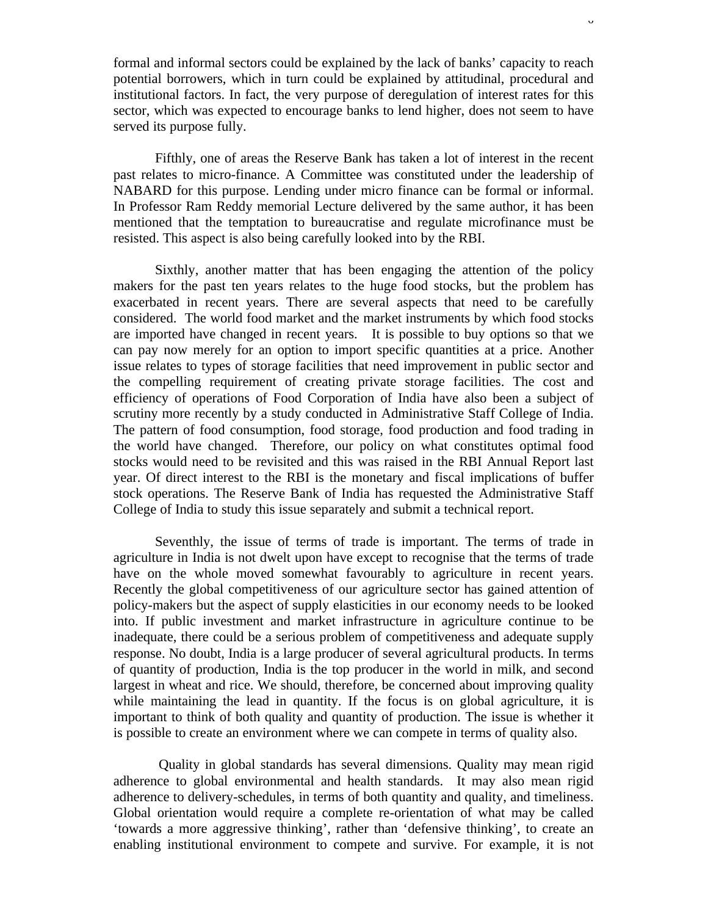formal and informal sectors could be explained by the lack of banks' capacity to reach potential borrowers, which in turn could be explained by attitudinal, procedural and institutional factors. In fact, the very purpose of deregulation of interest rates for this sector, which was expected to encourage banks to lend higher, does not seem to have served its purpose fully.

Fifthly, one of areas the Reserve Bank has taken a lot of interest in the recent past relates to micro-finance. A Committee was constituted under the leadership of NABARD for this purpose. Lending under micro finance can be formal or informal. In Professor Ram Reddy memorial Lecture delivered by the same author, it has been mentioned that the temptation to bureaucratise and regulate microfinance must be resisted. This aspect is also being carefully looked into by the RBI.

Sixthly, another matter that has been engaging the attention of the policy makers for the past ten years relates to the huge food stocks, but the problem has exacerbated in recent years. There are several aspects that need to be carefully considered. The world food market and the market instruments by which food stocks are imported have changed in recent years. It is possible to buy options so that we can pay now merely for an option to import specific quantities at a price. Another issue relates to types of storage facilities that need improvement in public sector and the compelling requirement of creating private storage facilities. The cost and efficiency of operations of Food Corporation of India have also been a subject of scrutiny more recently by a study conducted in Administrative Staff College of India. The pattern of food consumption, food storage, food production and food trading in the world have changed. Therefore, our policy on what constitutes optimal food stocks would need to be revisited and this was raised in the RBI Annual Report last year. Of direct interest to the RBI is the monetary and fiscal implications of buffer stock operations. The Reserve Bank of India has requested the Administrative Staff College of India to study this issue separately and submit a technical report.

Seventhly, the issue of terms of trade is important. The terms of trade in agriculture in India is not dwelt upon have except to recognise that the terms of trade have on the whole moved somewhat favourably to agriculture in recent years. Recently the global competitiveness of our agriculture sector has gained attention of policy-makers but the aspect of supply elasticities in our economy needs to be looked into. If public investment and market infrastructure in agriculture continue to be inadequate, there could be a serious problem of competitiveness and adequate supply response. No doubt, India is a large producer of several agricultural products. In terms of quantity of production, India is the top producer in the world in milk, and second largest in wheat and rice. We should, therefore, be concerned about improving quality while maintaining the lead in quantity. If the focus is on global agriculture, it is important to think of both quality and quantity of production. The issue is whether it is possible to create an environment where we can compete in terms of quality also.

 Quality in global standards has several dimensions. Quality may mean rigid adherence to global environmental and health standards. It may also mean rigid adherence to delivery-schedules, in terms of both quantity and quality, and timeliness. Global orientation would require a complete re-orientation of what may be called 'towards a more aggressive thinking', rather than 'defensive thinking', to create an enabling institutional environment to compete and survive. For example, it is not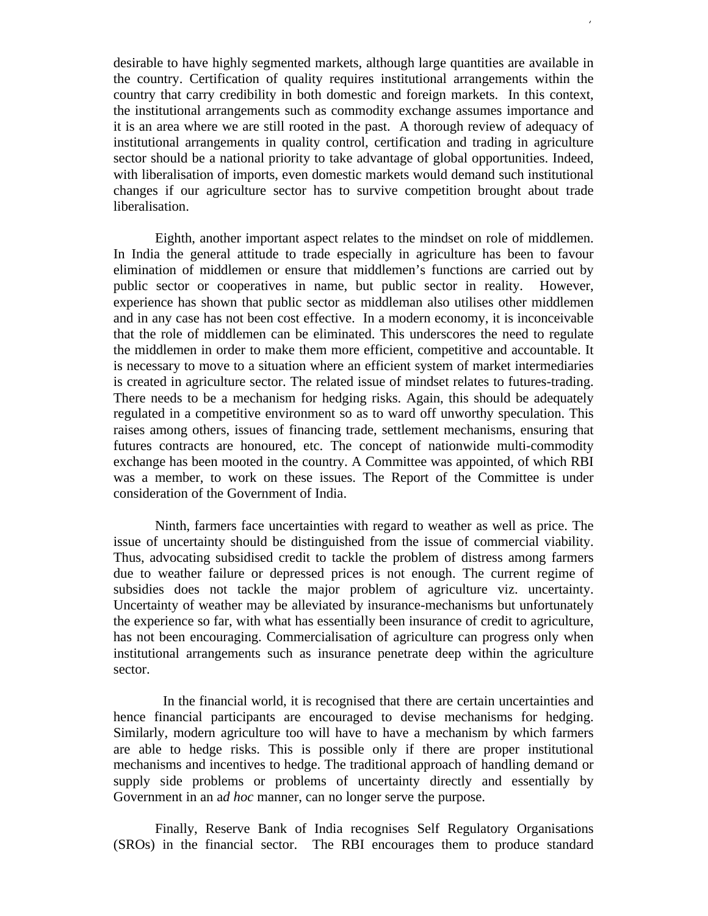desirable to have highly segmented markets, although large quantities are available in the country. Certification of quality requires institutional arrangements within the country that carry credibility in both domestic and foreign markets. In this context, the institutional arrangements such as commodity exchange assumes importance and it is an area where we are still rooted in the past. A thorough review of adequacy of institutional arrangements in quality control, certification and trading in agriculture sector should be a national priority to take advantage of global opportunities. Indeed, with liberalisation of imports, even domestic markets would demand such institutional changes if our agriculture sector has to survive competition brought about trade liberalisation.

7

Eighth, another important aspect relates to the mindset on role of middlemen. In India the general attitude to trade especially in agriculture has been to favour elimination of middlemen or ensure that middlemen's functions are carried out by public sector or cooperatives in name, but public sector in reality. However, experience has shown that public sector as middleman also utilises other middlemen and in any case has not been cost effective. In a modern economy, it is inconceivable that the role of middlemen can be eliminated. This underscores the need to regulate the middlemen in order to make them more efficient, competitive and accountable. It is necessary to move to a situation where an efficient system of market intermediaries is created in agriculture sector. The related issue of mindset relates to futures-trading. There needs to be a mechanism for hedging risks. Again, this should be adequately regulated in a competitive environment so as to ward off unworthy speculation. This raises among others, issues of financing trade, settlement mechanisms, ensuring that futures contracts are honoured, etc. The concept of nationwide multi-commodity exchange has been mooted in the country. A Committee was appointed, of which RBI was a member, to work on these issues. The Report of the Committee is under consideration of the Government of India.

Ninth, farmers face uncertainties with regard to weather as well as price. The issue of uncertainty should be distinguished from the issue of commercial viability. Thus, advocating subsidised credit to tackle the problem of distress among farmers due to weather failure or depressed prices is not enough. The current regime of subsidies does not tackle the major problem of agriculture viz. uncertainty. Uncertainty of weather may be alleviated by insurance-mechanisms but unfortunately the experience so far, with what has essentially been insurance of credit to agriculture, has not been encouraging. Commercialisation of agriculture can progress only when institutional arrangements such as insurance penetrate deep within the agriculture sector.

 In the financial world, it is recognised that there are certain uncertainties and hence financial participants are encouraged to devise mechanisms for hedging. Similarly, modern agriculture too will have to have a mechanism by which farmers are able to hedge risks. This is possible only if there are proper institutional mechanisms and incentives to hedge. The traditional approach of handling demand or supply side problems or problems of uncertainty directly and essentially by Government in an a*d hoc* manner, can no longer serve the purpose.

Finally, Reserve Bank of India recognises Self Regulatory Organisations (SROs) in the financial sector. The RBI encourages them to produce standard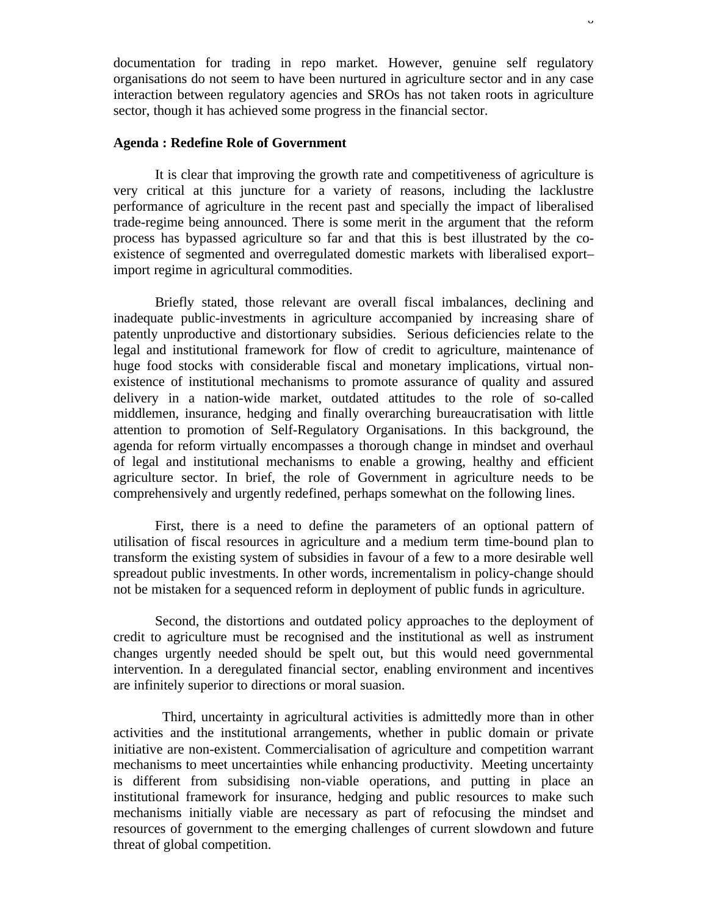documentation for trading in repo market. However, genuine self regulatory organisations do not seem to have been nurtured in agriculture sector and in any case interaction between regulatory agencies and SROs has not taken roots in agriculture sector, though it has achieved some progress in the financial sector.

## **Agenda : Redefine Role of Government**

It is clear that improving the growth rate and competitiveness of agriculture is very critical at this juncture for a variety of reasons, including the lacklustre performance of agriculture in the recent past and specially the impact of liberalised trade-regime being announced. There is some merit in the argument that the reform process has bypassed agriculture so far and that this is best illustrated by the coexistence of segmented and overregulated domestic markets with liberalised export– import regime in agricultural commodities.

Briefly stated, those relevant are overall fiscal imbalances, declining and inadequate public-investments in agriculture accompanied by increasing share of patently unproductive and distortionary subsidies. Serious deficiencies relate to the legal and institutional framework for flow of credit to agriculture, maintenance of huge food stocks with considerable fiscal and monetary implications, virtual nonexistence of institutional mechanisms to promote assurance of quality and assured delivery in a nation-wide market, outdated attitudes to the role of so-called middlemen, insurance, hedging and finally overarching bureaucratisation with little attention to promotion of Self-Regulatory Organisations. In this background, the agenda for reform virtually encompasses a thorough change in mindset and overhaul of legal and institutional mechanisms to enable a growing, healthy and efficient agriculture sector. In brief, the role of Government in agriculture needs to be comprehensively and urgently redefined, perhaps somewhat on the following lines.

First, there is a need to define the parameters of an optional pattern of utilisation of fiscal resources in agriculture and a medium term time-bound plan to transform the existing system of subsidies in favour of a few to a more desirable well spreadout public investments. In other words, incrementalism in policy-change should not be mistaken for a sequenced reform in deployment of public funds in agriculture.

Second, the distortions and outdated policy approaches to the deployment of credit to agriculture must be recognised and the institutional as well as instrument changes urgently needed should be spelt out, but this would need governmental intervention. In a deregulated financial sector, enabling environment and incentives are infinitely superior to directions or moral suasion.

 Third, uncertainty in agricultural activities is admittedly more than in other activities and the institutional arrangements, whether in public domain or private initiative are non-existent. Commercialisation of agriculture and competition warrant mechanisms to meet uncertainties while enhancing productivity. Meeting uncertainty is different from subsidising non-viable operations, and putting in place an institutional framework for insurance, hedging and public resources to make such mechanisms initially viable are necessary as part of refocusing the mindset and resources of government to the emerging challenges of current slowdown and future threat of global competition.